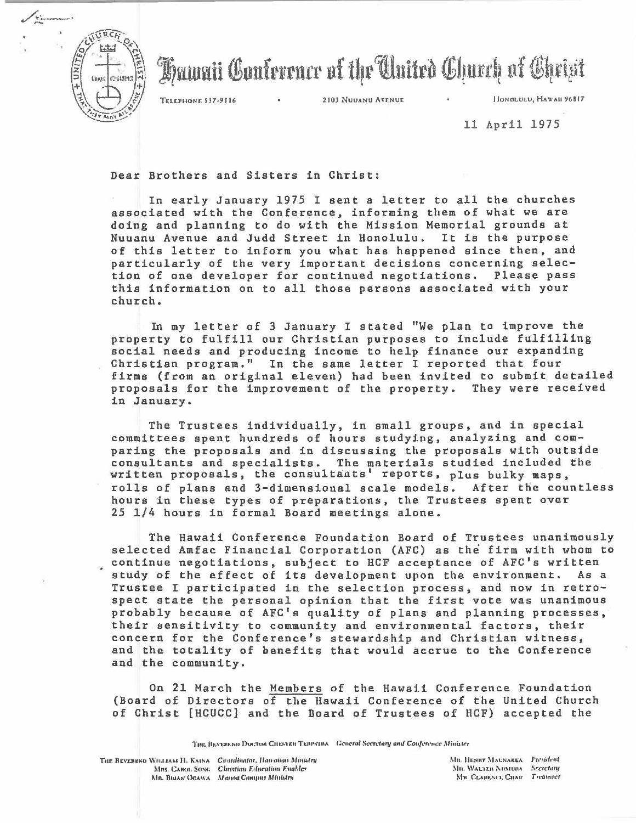

Hawaii Conference of the Cluited Church of Cheist

TELEPHONE 537-9516 . 2103 NUUANU AVENUE . JIONOLULU, HAWAII 96817

11 April 1975

Dear Brothers and Sisters in Christ:

In early January 1975 I sent a letter to all the churches associated with the Conference, informing them of what we are doing and planning to do with the Mission Memorial grounds at Nuuanu Avenue and Judd Street in Honolulu. It is the purpose of this letter to inform you what has happened since then, and particularly of the very important decisions concerning selection of one developer for continued negotiations. Please pass this information on to all those persons associated with your church.

In my letter of 3 January I stated "We plan to improve the property to fulfill our Christian purposes to include fulfilling social needs and producing income to help finance our expanding Christian program." In the same letter I reported that four firms (from an original eleven) had been invited to submit detailed proposals for the improvement of the property. They were received in January.

The Trustees individually, in small groups, and in special committees spent hundreds of hours studying, analyzing and comparing the proposals and in discussing the proposals with outside consultants and specialists. The materials studied included the written proposals, the consultants' reports, plus bulky maps, rolls of plans and 3-dimensional scale models. After the countless hours in these types of preparations, the Trustees spent over 25 1/4 hours in formal Board meetings alone .

The Hawaii Conference Foundation Board of Trustees unanimously selected Amfac Financial Corporation (AFC) as the firm with whom to continue negotiations, subject to HCF acceptance of AFC's written study of the effect of its development upon the environment. As a Trustee I participated in the selection process, and now in retrospect state the personal opinion that the first vote was unanimous probably because of AFC's quality of plans and planning processes, their sensitivity to community and environmental factors, their concern for the Conference's stewardship and Christian witness, and the totality of benefits that would accrue to the Conference and the community.

On 21 March the Members of the Hawaii Conference Foundation (Board of Directors of the Hawaii Conference of the United Church of Christ [HCUCC] and the Board of Trustees of HCF) accepted the

**1'ng HEVEREND DOCTOR CHESTER TERPSTRA** *Ceneral Secretary and Conference Minister*